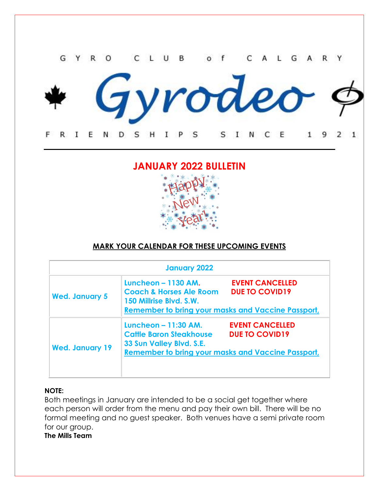

rodeo

E F R I E N D s н L P S S I N C 1 9 2  $\mathbf{1}$ 

# **JANUARY 2022 BULLETIN**



# **MARK YOUR CALENDAR FOR THESE UPCOMING EVENTS**

| <b>January 2022</b>    |                                                                                                                                                          |                                                 |
|------------------------|----------------------------------------------------------------------------------------------------------------------------------------------------------|-------------------------------------------------|
| <b>Wed. January 5</b>  | <b>Luncheon - 1130 AM.</b><br><b>Coach &amp; Horses Ale Room</b><br>150 Millrise Blvd. S.W.<br><b>Remember to bring your masks and Vaccine Passport,</b> | <b>EVENT CANCELLED</b><br><b>DUE TO COVID19</b> |
| <b>Wed. January 19</b> | Luncheon - 11:30 AM.<br><b>Cattle Baron Steakhouse</b><br>33 Sun Valley Blvd. S.E.<br><b>Remember to bring your masks and Vaccine Passport,</b>          | <b>EVENT CANCELLED</b><br><b>DUE TO COVID19</b> |

# **NOTE:**

Both meetings in January are intended to be a social get together where each person will order from the menu and pay their own bill. There will be no formal meeting and no guest speaker. Both venues have a semi private room for our group.

**The Mills Team**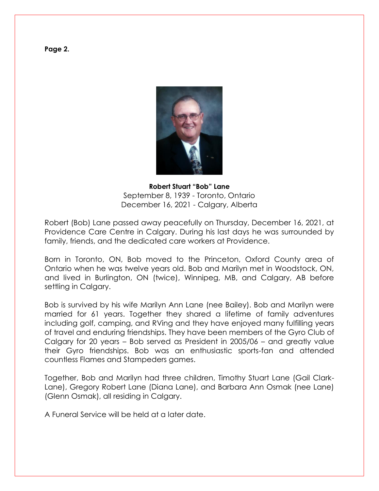**Page 2.**



**Robert Stuart "Bob" Lane** September 8, 1939 - Toronto, Ontario December 16, 2021 - Calgary, Alberta

Robert (Bob) Lane passed away peacefully on Thursday, December 16, 2021, at Providence Care Centre in Calgary. During his last days he was surrounded by family, friends, and the dedicated care workers at Providence.

Born in Toronto, ON, Bob moved to the Princeton, Oxford County area of Ontario when he was twelve years old. Bob and Marilyn met in Woodstock, ON, and lived in Burlington, ON (twice), Winnipeg, MB, and Calgary, AB before settling in Calgary.

Bob is survived by his wife Marilyn Ann Lane (nee Bailey). Bob and Marilyn were married for 61 years. Together they shared a lifetime of family adventures including golf, camping, and RVing and they have enjoyed many fulfilling years of travel and enduring friendships. They have been members of the Gyro Club of Calgary for 20 years – Bob served as President in 2005/06 – and greatly value their Gyro friendships. Bob was an enthusiastic sports-fan and attended countless Flames and Stampeders games.

Together, Bob and Marilyn had three children, Timothy Stuart Lane (Gail Clark-Lane), Gregory Robert Lane (Diana Lane), and Barbara Ann Osmak (nee Lane) (Glenn Osmak), all residing in Calgary.

A Funeral Service will be held at a later date.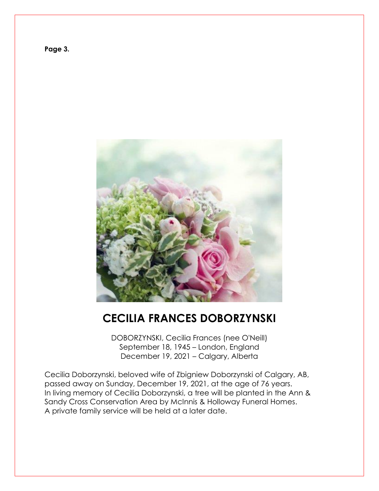



# **CECILIA FRANCES DOBORZYNSKI**

DOBORZYNSKI, Cecilia Frances (nee O'Neill) September 18, 1945 – London, England December 19, 2021 – Calgary, Alberta

Cecilia Doborzynski, beloved wife of Zbigniew Doborzynski of Calgary, AB, passed away on Sunday, December 19, 2021, at the age of 76 years. In living memory of Cecilia Doborzynski, a tree will be planted in the Ann & Sandy Cross Conservation Area by McInnis & Holloway Funeral Homes. A private family service will be held at a later date.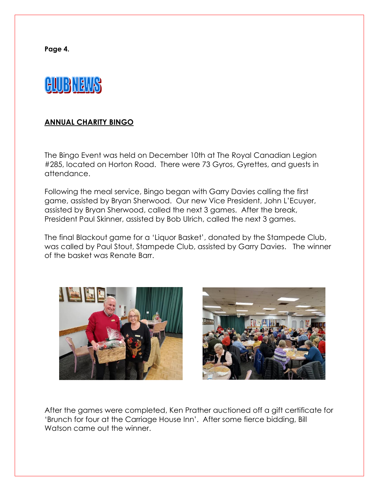**Page 4.**



# **ANNUAL CHARITY BINGO**

The Bingo Event was held on December 10th at The Royal Canadian Legion #285, located on Horton Road. There were 73 Gyros, Gyrettes, and guests in attendance.

Following the meal service, Bingo began with Garry Davies calling the first game, assisted by Bryan Sherwood. Our new Vice President, John L'Ecuyer, assisted by Bryan Sherwood, called the next 3 games. After the break, President Paul Skinner, assisted by Bob Ulrich, called the next 3 games.

The final Blackout game for a 'Liquor Basket', donated by the Stampede Club, was called by Paul Stout, Stampede Club, assisted by Garry Davies. The winner of the basket was Renate Barr.





After the games were completed, Ken Prather auctioned off a gift certificate for 'Brunch for four at the Carriage House Inn'. After some fierce bidding, Bill Watson came out the winner.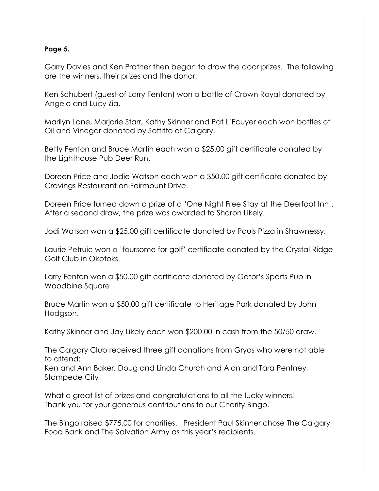### **Page 5.**

Garry Davies and Ken Prather then began to draw the door prizes. The following are the winners, their prizes and the donor:

Ken Schubert (guest of Larry Fenton) won a bottle of Crown Royal donated by Angelo and Lucy Zia.

Marilyn Lane, Marjorie Starr, Kathy Skinner and Pat L'Ecuyer each won bottles of Oil and Vinegar donated by Soffitto of Calgary.

Betty Fenton and Bruce Martin each won a \$25.00 gift certificate donated by the Lighthouse Pub Deer Run.

Doreen Price and Jodie Watson each won a \$50.00 gift certificate donated by Cravings Restaurant on Fairmount Drive.

Doreen Price turned down a prize of a 'One Night Free Stay at the Deerfoot Inn'. After a second draw, the prize was awarded to Sharon Likely.

Jodi Watson won a \$25.00 gift certificate donated by Pauls Pizza in Shawnessy.

Laurie Petruic won a 'foursome for golf' certificate donated by the Crystal Ridge Golf Club in Okotoks.

Larry Fenton won a \$50.00 gift certificate donated by Gator's Sports Pub in Woodbine Square

Bruce Martin won a \$50.00 gift certificate to Heritage Park donated by John Hodgson.

Kathy Skinner and Jay Likely each won \$200.00 in cash from the 50/50 draw.

The Calgary Club received three gift donations from Gryos who were not able to attend:

Ken and Ann Baker, Doug and Linda Church and Alan and Tara Pentney, Stampede City

What a great list of prizes and congratulations to all the lucky winners! Thank you for your generous contributions to our Charity Bingo.

The Bingo raised \$775.00 for charities. President Paul Skinner chose The Calgary Food Bank and The Salvation Army as this year's recipients.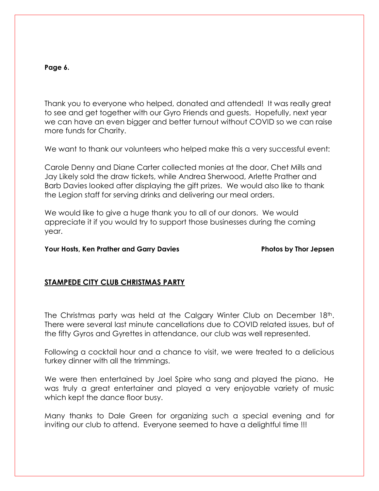#### **Page 6.**

Thank you to everyone who helped, donated and attended! It was really great to see and get together with our Gyro Friends and guests. Hopefully, next year we can have an even bigger and better turnout without COVID so we can raise more funds for Charity.

We want to thank our volunteers who helped make this a very successful event:

Carole Denny and Diane Carter collected monies at the door, Chet Mills and Jay Likely sold the draw tickets, while Andrea Sherwood, Arlette Prather and Barb Davies looked after displaying the gift prizes. We would also like to thank the Legion staff for serving drinks and delivering our meal orders.

We would like to give a huge thank you to all of our donors. We would appreciate it if you would try to support those businesses during the coming year.

#### **Your Hosts, Ken Prather and Garry Davies Photos by Thor Jepsen**

# **STAMPEDE CITY CLUB CHRISTMAS PARTY**

The Christmas party was held at the Calgary Winter Club on December 18<sup>th</sup>. There were several last minute cancellations due to COVID related issues, but of the fifty Gyros and Gyrettes in attendance, our club was well represented.

Following a cocktail hour and a chance to visit, we were treated to a delicious turkey dinner with all the trimmings.

We were then entertained by Joel Spire who sang and played the piano. He was truly a great entertainer and played a very enjoyable variety of music which kept the dance floor busy.

Many thanks to Dale Green for organizing such a special evening and for inviting our club to attend. Everyone seemed to have a delightful time !!!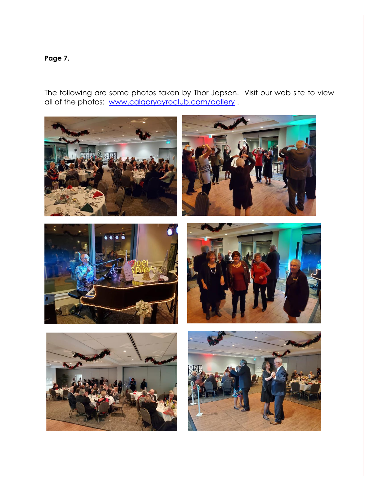# **Page 7.**

The following are some photos taken by Thor Jepsen. Visit our web site to view all of the photos: [www.calgarygyroclub.com/gallery](http://www.calgarygyroclub.com/gallery).

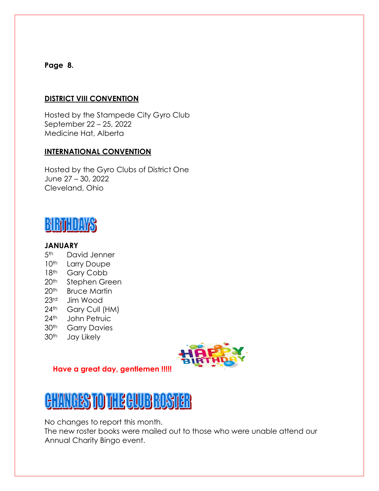# **Page 8.**

# **DISTRICT VIII CONVENTION**

Hosted by the Stampede City Gyro Club September 22 – 25, 2022 Medicine Hat, Alberta

# **INTERNATIONAL CONVENTION**

Hosted by the Gyro Clubs of District One June 27 – 30, 2022 Cleveland, Ohio



# **JANUARY**

- 5<sup>th</sup> David Jenner
- 10<sup>th</sup> Larry Doupe
- 18th Gary Cobb
- 20<sup>th</sup> Stephen Green
- 20<sup>th</sup> Bruce Martin
- 23rd Jim Wood
- 24<sup>th</sup> Gary Cull (HM)
- 24<sup>th</sup> John Petruic
- 30<sup>th</sup> Garry Davies
- 30th Jay Likely



# **Have a great day, gentlemen !!!!!**



No changes to report this month.

The new roster books were mailed out to those who were unable attend our Annual Charity Bingo event.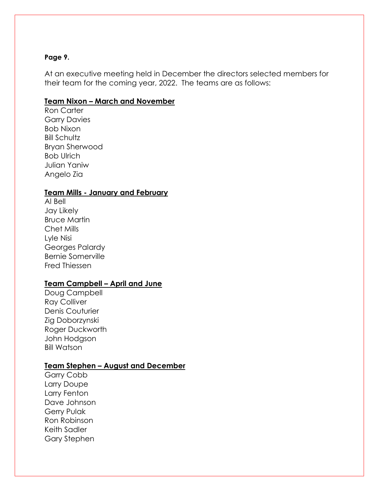#### **Page 9.**

At an executive meeting held in December the directors selected members for their team for the coming year, 2022. The teams are as follows:

#### **Team Nixon – March and November**

Ron Carter Garry Davies Bob Nixon Bill Schultz Bryan Sherwood Bob Ulrich Julian Yaniw Angelo Zia

### **Team Mills - January and February**

Al Bell Jay Likely Bruce Martin Chet Mills Lyle Nisi Georges Palardy Bernie Somerville Fred Thiessen

# **Team Campbell – April and June**

Doug Campbell Ray Colliver Denis Couturier Zig Doborzynski Roger Duckworth John Hodgson Bill Watson

# **Team Stephen – August and December**

Garry Cobb Larry Doupe Larry Fenton Dave Johnson Gerry Pulak Ron Robinson Keith Sadler Gary Stephen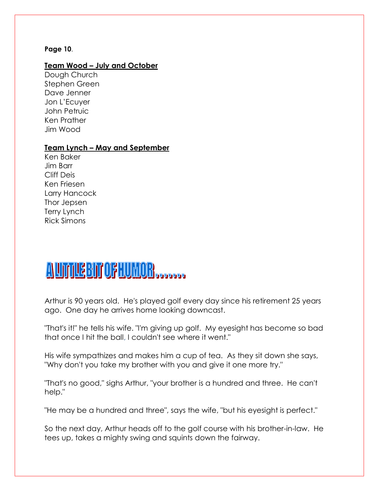#### **Page 10**.

### **Team Wood – July and October**

Dough Church Stephen Green Dave Jenner Jon L'Ecuyer John Petruic Ken Prather Jim Wood

#### **Team Lynch – May and September**

Ken Baker Jim Barr Cliff Deis Ken Friesen Larry Hancock Thor Jepsen Terry Lynch Rick Simons

# AUTHEBITOFHUMOR

Arthur is 90 years old. He's played golf every day since his retirement 25 years ago. One day he arrives home looking downcast.

"That's it!" he tells his wife. "I'm giving up golf. My eyesight has become so bad that once I hit the ball, I couldn't see where it went."

His wife sympathizes and makes him a cup of tea. As they sit down she says, "Why don't you take my brother with you and give it one more try."

"That's no good," sighs Arthur, "your brother is a hundred and three. He can't help."

"He may be a hundred and three", says the wife, "but his eyesight is perfect."

So the next day, Arthur heads off to the golf course with his brother-in-law. He tees up, takes a mighty swing and squints down the fairway.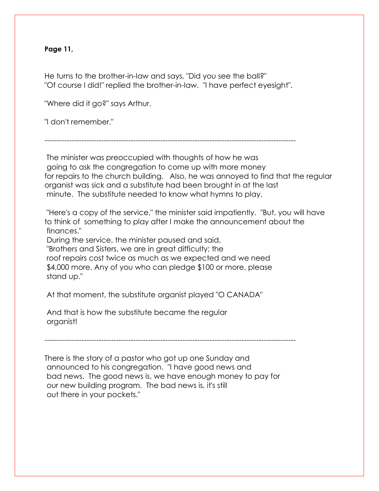### **Page 11,**

He turns to the brother-in-law and says, "Did you see the ball?" "Of course I did!" replied the brother-in-law. "I have perfect eyesight".

"Where did it go?" says Arthur.

"I don't remember."

------------------------------------------------------------------------------------------------------

The minister was preoccupied with thoughts of how he was going to ask the congregation to come up with more money for repairs to the church building. Also, he was annoyed to find that the regular organist was sick and a substitute had been brought in at the last minute. The substitute needed to know what hymns to play.

"Here's a copy of the service," the minister said impatiently. "But, you will have to think of something to play after I make the announcement about the finances."

During the service, the minister paused and said,

"Brothers and Sisters, we are in great difficulty; the

roof repairs cost twice as much as we expected and we need \$4,000 more. Any of you who can pledge \$100 or more, please stand up."

At that moment, the substitute organist played "O CANADA"

And that is how the substitute became the regular organist!

------------------------------------------------------------------------------------------------------

There is the story of a pastor who got up one Sunday and announced to his congregation. "I have good news and bad news. The good news is, we have enough money to pay for our new building program. The bad news is, it's still out there in your pockets."